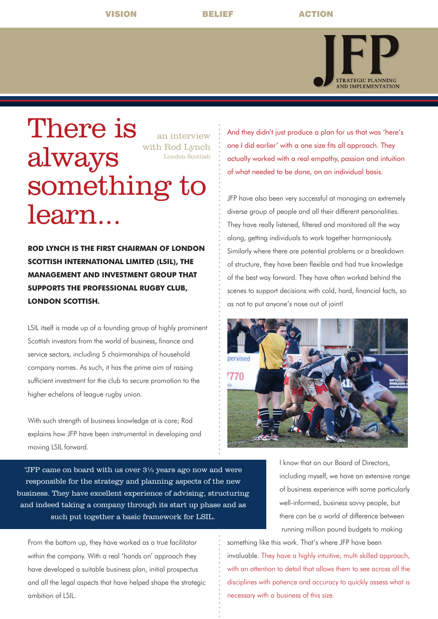VISION BELIEF ACTION



## There is always something to learn... an interview with Rod Lynch London Scottish

**ROD LYNCH IS THE FIRST CHAIRMAN OF LONDON SCOTTISH INTERNATIONAL LIMITED (LSIL), THE MANAGEMENT AND INVESTMENT GROUP THAT SUPPORTS THE PROFESSIONAL RUGBY CLUB, LONDON SCOTTISH.** 

LSIL itself is made up of a founding group of highly prominent Scottish investors from the world of business, finance and service sectors, including 5 chairmanships of household company names. As such, it has the prime aim of raising sufficient investment for the club to secure promotion to the higher echelons of league rugby union.

With such strength of business knowledge at is core; Rod explains how JFP have been instrumental in developing and moving LSIL forward.

"JFP came on board with us over 3½ years ago now and were responsible for the strategy and planning aspects of the new business. They have excellent experience of advising, structuring and indeed taking a company through its start up phase and as such put together a basic framework for LSIL.

From the bottom up, they have worked as a true facilitator within the company. With a real 'hands on' approach they have developed a suitable business plan, initial prospectus and all the legal aspects that have helped shape the strategic ambition of LSIL.

And they didn't just produce a plan for us that was 'here's one I did earlier' with a one size fits all approach. They actually worked with a real empathy, passion and intuition of what needed to be done, on an individual basis.

JFP have also been very successful at managing an extremely diverse group of people and all their different personalities. They have really listened, filtered and monitored all the way along, getting individuals to work together harmoniously. Similarly where there are potential problems or a breakdown of structure, they have been flexible and had true knowledge of the best way forward. They have often worked behind the scenes to support decisions with cold, hard, financial facts, so as not to put anyone's nose out of joint!



I know that on our Board of Directors, including myself, we have an extensive range of business experience with some particularly well-informed, business savvy people, but there can be a world of difference between running million pound budgets to making

something like this work. That's where JFP have been invaluable. They have a highly intuitive, multi skilled approach, with an attention to detail that allows them to see across all the disciplines with patience and accuracy to quickly assess what is necessary with a business of this size.